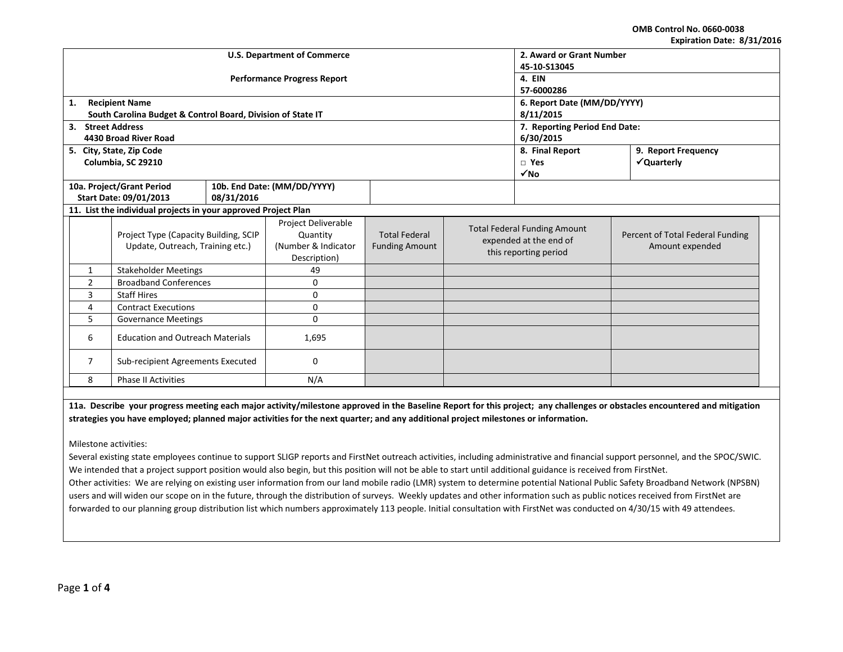**OMB Control No. 0660-0038 Expiration Date: 8/31/2016**

|                                              |                                                                           |                                    |                                                                        |                                               |                     |                                                                                        | LANII QUUII DALC. 0/ JI/ LUIL                       |
|----------------------------------------------|---------------------------------------------------------------------------|------------------------------------|------------------------------------------------------------------------|-----------------------------------------------|---------------------|----------------------------------------------------------------------------------------|-----------------------------------------------------|
|                                              |                                                                           | <b>U.S. Department of Commerce</b> | 2. Award or Grant Number                                               |                                               |                     |                                                                                        |                                                     |
|                                              |                                                                           |                                    | 45-10-S13045                                                           |                                               |                     |                                                                                        |                                                     |
|                                              |                                                                           | <b>Performance Progress Report</b> | 4. EIN                                                                 |                                               |                     |                                                                                        |                                                     |
|                                              |                                                                           |                                    | 57-6000286                                                             |                                               |                     |                                                                                        |                                                     |
| 1.                                           | <b>Recipient Name</b>                                                     |                                    | 6. Report Date (MM/DD/YYYY)                                            |                                               |                     |                                                                                        |                                                     |
|                                              | South Carolina Budget & Control Board, Division of State IT               |                                    | 8/11/2015                                                              |                                               |                     |                                                                                        |                                                     |
| 3. Street Address                            |                                                                           |                                    | 7. Reporting Period End Date:                                          |                                               |                     |                                                                                        |                                                     |
|                                              | 4430 Broad River Road                                                     |                                    | 6/30/2015                                                              |                                               |                     |                                                                                        |                                                     |
|                                              | 5. City, State, Zip Code                                                  |                                    |                                                                        | 8. Final Report                               | 9. Report Frequency |                                                                                        |                                                     |
|                                              | Columbia, SC 29210                                                        |                                    |                                                                        |                                               |                     | $\square$ Yes                                                                          | √Quarterly                                          |
|                                              |                                                                           |                                    |                                                                        |                                               |                     | $\sqrt{NQ}$                                                                            |                                                     |
|                                              | 10a. Project/Grant Period                                                 |                                    | 10b. End Date: (MM/DD/YYYY)                                            |                                               |                     |                                                                                        |                                                     |
|                                              | Start Date: 09/01/2013                                                    | 08/31/2016                         |                                                                        |                                               |                     |                                                                                        |                                                     |
|                                              | 11. List the individual projects in your approved Project Plan            |                                    |                                                                        |                                               |                     |                                                                                        |                                                     |
|                                              | Project Type (Capacity Building, SCIP<br>Update, Outreach, Training etc.) |                                    | Project Deliverable<br>Quantity<br>(Number & Indicator<br>Description) | <b>Total Federal</b><br><b>Funding Amount</b> |                     | <b>Total Federal Funding Amount</b><br>expended at the end of<br>this reporting period | Percent of Total Federal Funding<br>Amount expended |
| $\mathbf{1}$                                 | <b>Stakeholder Meetings</b>                                               |                                    | 49                                                                     |                                               |                     |                                                                                        |                                                     |
| $\overline{2}$                               | <b>Broadband Conferences</b>                                              |                                    | 0                                                                      |                                               |                     |                                                                                        |                                                     |
| 3                                            | <b>Staff Hires</b>                                                        |                                    | 0                                                                      |                                               |                     |                                                                                        |                                                     |
| 4                                            | <b>Contract Executions</b>                                                |                                    | 0                                                                      |                                               |                     |                                                                                        |                                                     |
| 5<br>0<br><b>Governance Meetings</b>         |                                                                           |                                    |                                                                        |                                               |                     |                                                                                        |                                                     |
| <b>Education and Outreach Materials</b><br>6 |                                                                           | 1,695                              |                                                                        |                                               |                     |                                                                                        |                                                     |
| 7<br>Sub-recipient Agreements Executed       |                                                                           |                                    | 0                                                                      |                                               |                     |                                                                                        |                                                     |
| 8<br><b>Phase II Activities</b><br>N/A       |                                                                           |                                    |                                                                        |                                               |                     |                                                                                        |                                                     |

**11a. Describe your progress meeting each major activity/milestone approved in the Baseline Report for this project; any challenges or obstacles encountered and mitigation strategies you have employed; planned major activities for the next quarter; and any additional project milestones or information.**

Milestone activities:

Several existing state employees continue to support SLIGP reports and FirstNet outreach activities, including administrative and financial support personnel, and the SPOC/SWIC. We intended that a project support position would also begin, but this position will not be able to start until additional guidance is received from FirstNet. Other activities: We are relying on existing user information from our land mobile radio (LMR) system to determine potential National Public Safety Broadband Network (NPSBN) users and will widen our scope on in the future, through the distribution of surveys. Weekly updates and other information such as public notices received from FirstNet are forwarded to our planning group distribution list which numbers approximately 113 people. Initial consultation with FirstNet was conducted on 4/30/15 with 49 attendees.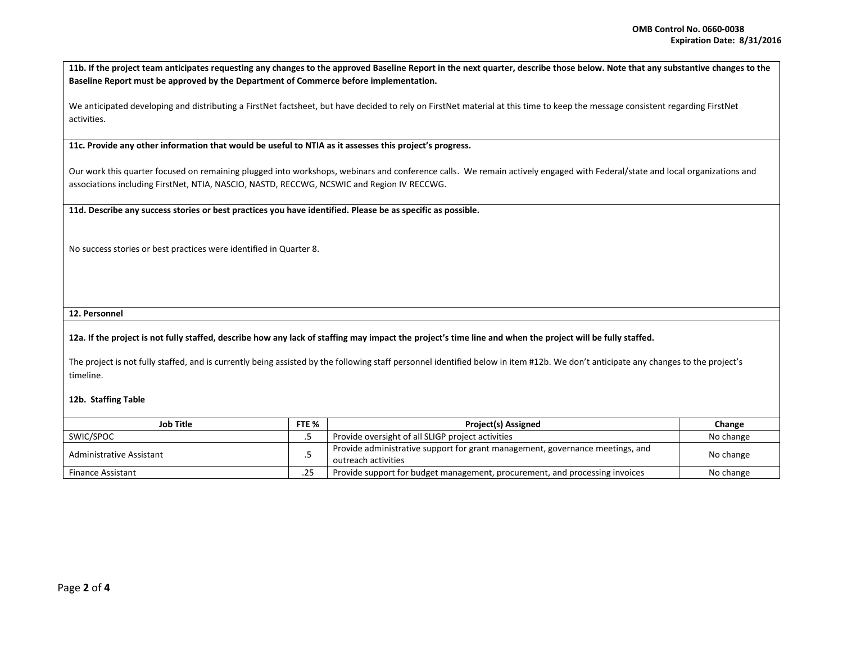**11b. If the project team anticipates requesting any changes to the approved Baseline Report in the next quarter, describe those below. Note that any substantive changes to the Baseline Report must be approved by the Department of Commerce before implementation.** 

We anticipated developing and distributing a FirstNet factsheet, but have decided to rely on FirstNet material at this time to keep the message consistent regarding FirstNet activities.

**11c. Provide any other information that would be useful to NTIA as it assesses this project's progress.** 

Our work this quarter focused on remaining plugged into workshops, webinars and conference calls. We remain actively engaged with Federal/state and local organizations and associations including FirstNet, NTIA, NASCIO, NASTD, RECCWG, NCSWIC and Region IV RECCWG.

**11d. Describe any success stories or best practices you have identified. Please be as specific as possible.**

No success stories or best practices were identified in Quarter 8.

**12. Personnel** 

## **12a. If the project is not fully staffed, describe how any lack of staffing may impact the project's time line and when the project will be fully staffed.**

The project is not fully staffed, and is currently being assisted by the following staff personnel identified below in item #12b. We don't anticipate any changes to the project's timeline.

## **12b. Staffing Table**

| <b>Job Title</b>         | FTE % | <b>Project(s) Assigned</b>                                                                           | Change    |
|--------------------------|-------|------------------------------------------------------------------------------------------------------|-----------|
| SWIC/SPOC                |       | Provide oversight of all SLIGP project activities                                                    | No change |
| Administrative Assistant |       | Provide administrative support for grant management, governance meetings, and<br>outreach activities | No change |
| <b>Finance Assistant</b> |       | Provide support for budget management, procurement, and processing invoices                          | No change |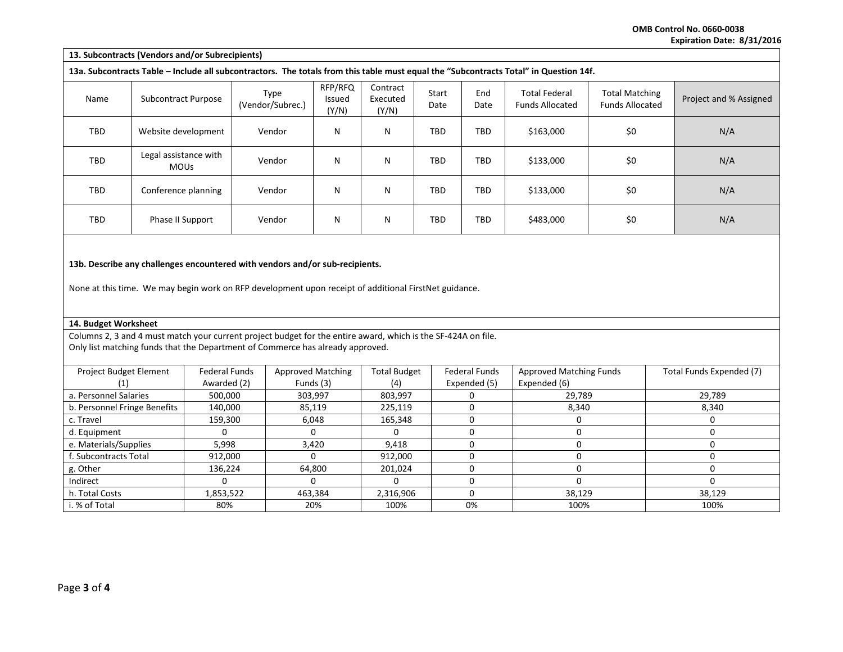**OMB Control No. 0660-0038 Expiration Date: 8/31/2016**

|                                                                                                                                                                                       | 13. Subcontracts (Vendors and/or Subrecipients) |                      |                                                                                                                                                                                                 |                            |                               |               |                      |                                                                                                                                       |                                                 |                          |
|---------------------------------------------------------------------------------------------------------------------------------------------------------------------------------------|-------------------------------------------------|----------------------|-------------------------------------------------------------------------------------------------------------------------------------------------------------------------------------------------|----------------------------|-------------------------------|---------------|----------------------|---------------------------------------------------------------------------------------------------------------------------------------|-------------------------------------------------|--------------------------|
|                                                                                                                                                                                       |                                                 |                      |                                                                                                                                                                                                 |                            |                               |               |                      | 13a. Subcontracts Table - Include all subcontractors. The totals from this table must equal the "Subcontracts Total" in Question 14f. |                                                 |                          |
| Name                                                                                                                                                                                  | <b>Subcontract Purpose</b>                      |                      | Type<br>(Vendor/Subrec.)                                                                                                                                                                        | RFP/RFQ<br>Issued<br>(Y/N) | Contract<br>Executed<br>(Y/N) | Start<br>Date | End<br>Date          | <b>Total Federal</b><br><b>Funds Allocated</b>                                                                                        | <b>Total Matching</b><br><b>Funds Allocated</b> | Project and % Assigned   |
| TBD                                                                                                                                                                                   | Website development                             |                      | Vendor                                                                                                                                                                                          | N                          | N                             | <b>TBD</b>    | <b>TBD</b>           | \$163,000                                                                                                                             | \$0\$                                           | N/A                      |
| TBD                                                                                                                                                                                   | Legal assistance with<br><b>MOUs</b>            |                      | Vendor                                                                                                                                                                                          | N                          | N                             | TBD           | <b>TBD</b>           | \$133,000                                                                                                                             | \$0                                             | N/A                      |
| TBD                                                                                                                                                                                   | Conference planning                             |                      | Vendor                                                                                                                                                                                          | N                          | N                             | <b>TBD</b>    | <b>TBD</b>           | \$133,000                                                                                                                             | \$0                                             | N/A                      |
| TBD                                                                                                                                                                                   | Phase II Support                                |                      | Vendor                                                                                                                                                                                          | N                          | N                             | TBD           | <b>TBD</b>           | \$483,000                                                                                                                             | \$0                                             | N/A                      |
| 13b. Describe any challenges encountered with vendors and/or sub-recipients.<br>None at this time. We may begin work on RFP development upon receipt of additional FirstNet guidance. |                                                 |                      |                                                                                                                                                                                                 |                            |                               |               |                      |                                                                                                                                       |                                                 |                          |
| 14. Budget Worksheet                                                                                                                                                                  |                                                 |                      |                                                                                                                                                                                                 |                            |                               |               |                      |                                                                                                                                       |                                                 |                          |
|                                                                                                                                                                                       |                                                 |                      | Columns 2, 3 and 4 must match your current project budget for the entire award, which is the SF-424A on file.<br>Only list matching funds that the Department of Commerce has already approved. |                            |                               |               |                      |                                                                                                                                       |                                                 |                          |
| Project Budget Element                                                                                                                                                                |                                                 | <b>Federal Funds</b> |                                                                                                                                                                                                 | <b>Approved Matching</b>   | <b>Total Budget</b>           |               | <b>Federal Funds</b> | <b>Approved Matching Funds</b>                                                                                                        |                                                 | Total Funds Expended (7) |
| (1)                                                                                                                                                                                   |                                                 | Awarded (2)          |                                                                                                                                                                                                 | Funds (3)                  | (4)                           |               | Expended (5)         | Expended (6)                                                                                                                          |                                                 |                          |
| a. Personnel Salaries                                                                                                                                                                 |                                                 | 500,000              |                                                                                                                                                                                                 | 303,997                    | 803,997                       |               | 0                    | 29,789                                                                                                                                |                                                 | 29,789                   |
| b. Personnel Fringe Benefits                                                                                                                                                          |                                                 | 140,000              |                                                                                                                                                                                                 | 85,119                     | 225,119                       |               | 0                    | 8,340                                                                                                                                 |                                                 | 8,340                    |
| c. Travel                                                                                                                                                                             |                                                 | 159,300              |                                                                                                                                                                                                 | 6,048                      | 165,348                       |               | 0                    | $\mathbf 0$                                                                                                                           |                                                 | $\mathbf 0$              |

d. Equipment 0 0 0 0 0 0 e. Materials/Supplies | 5,998 | 3,420 | 9,418 | 0 | 0 | 0 | 0 f. Subcontracts Total 912,000 0 912,000 0 0 0 g. Other | 136,224 | 64,800 | 201,024 | 0 | 0 Indirect 0 0 0 0 0 0 h. Total Costs | 1,853,522 | 463,384 | 2,316,906 | 38,129 | 38,129 i. % of Total 80% 20% 100% 0% 100% 100%